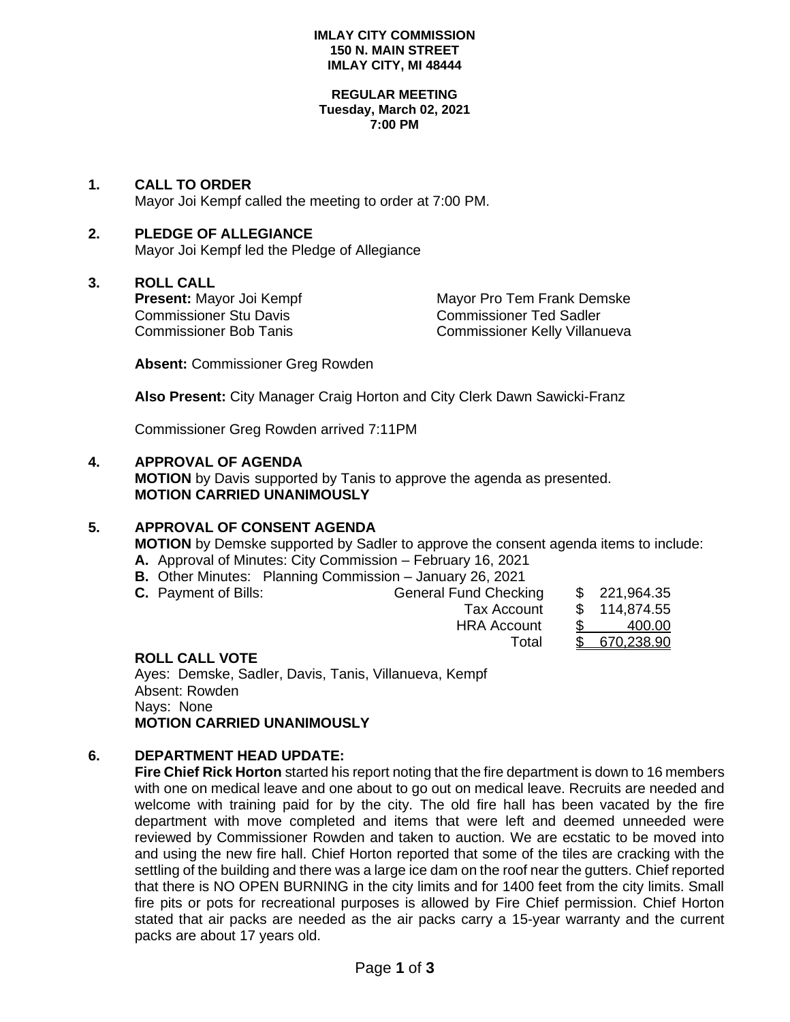#### **IMLAY CITY COMMISSION 150 N. MAIN STREET IMLAY CITY, MI 48444**

#### **REGULAR MEETING Tuesday, March 02, 2021 7:00 PM**

**1. CALL TO ORDER** Mayor Joi Kempf called the meeting to order at 7:00 PM.

### **2. PLEDGE OF ALLEGIANCE**

Mayor Joi Kempf led the Pledge of Allegiance

### **3. ROLL CALL**

Commissioner Stu Davis Commissioner Ted Sadler

**Present:** Mayor Joi Kempf Mayor Pro Tem Frank Demske Commissioner Bob Tanis Commissioner Kelly Villanueva

**Absent:** Commissioner Greg Rowden

**Also Present:** City Manager Craig Horton and City Clerk Dawn Sawicki-Franz

Commissioner Greg Rowden arrived 7:11PM

### **4. APPROVAL OF AGENDA**

**MOTION** by Davis supported by Tanis to approve the agenda as presented. **MOTION CARRIED UNANIMOUSLY**

## **5. APPROVAL OF CONSENT AGENDA**

**MOTION** by Demske supported by Sadler to approve the consent agenda items to include:

- **A.** Approval of Minutes: City Commission February 16, 2021
- **B.** Other Minutes: Planning Commission January 26, 2021
- **C.** Payment of Bills: General Fund Checking \$ 221,964.35

| ı. | <b>Serioral Laria Oriophing</b> | $\mathbf{u}$ | —————————    |
|----|---------------------------------|--------------|--------------|
|    | Tax Account                     |              | \$114,874.55 |
|    | <b>HRA Account</b>              |              | 400.00       |
|    | Total                           |              | \$670.238.90 |

### **ROLL CALL VOTE**

Ayes: Demske, Sadler, Davis, Tanis, Villanueva, Kempf Absent: Rowden Nays: None **MOTION CARRIED UNANIMOUSLY**

### **6. DEPARTMENT HEAD UPDATE:**

**Fire Chief Rick Horton** started his report noting that the fire department is down to 16 members with one on medical leave and one about to go out on medical leave. Recruits are needed and welcome with training paid for by the city. The old fire hall has been vacated by the fire department with move completed and items that were left and deemed unneeded were reviewed by Commissioner Rowden and taken to auction. We are ecstatic to be moved into and using the new fire hall. Chief Horton reported that some of the tiles are cracking with the settling of the building and there was a large ice dam on the roof near the gutters. Chief reported that there is NO OPEN BURNING in the city limits and for 1400 feet from the city limits. Small fire pits or pots for recreational purposes is allowed by Fire Chief permission. Chief Horton stated that air packs are needed as the air packs carry a 15-year warranty and the current packs are about 17 years old.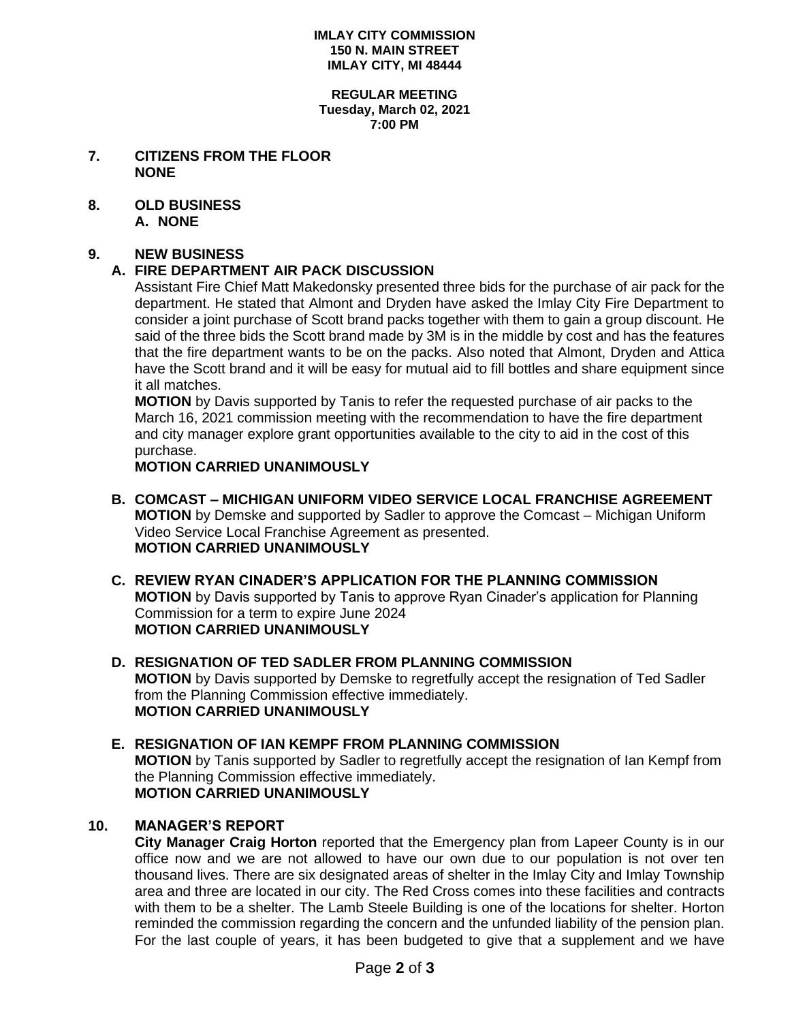#### **IMLAY CITY COMMISSION 150 N. MAIN STREET IMLAY CITY, MI 48444**

#### **REGULAR MEETING Tuesday, March 02, 2021 7:00 PM**

- **7. CITIZENS FROM THE FLOOR NONE**
- **8. OLD BUSINESS A. NONE**

### **9. NEW BUSINESS**

# **A. FIRE DEPARTMENT AIR PACK DISCUSSION**

Assistant Fire Chief Matt Makedonsky presented three bids for the purchase of air pack for the department. He stated that Almont and Dryden have asked the Imlay City Fire Department to consider a joint purchase of Scott brand packs together with them to gain a group discount. He said of the three bids the Scott brand made by 3M is in the middle by cost and has the features that the fire department wants to be on the packs. Also noted that Almont, Dryden and Attica have the Scott brand and it will be easy for mutual aid to fill bottles and share equipment since it all matches.

**MOTION** by Davis supported by Tanis to refer the requested purchase of air packs to the March 16, 2021 commission meeting with the recommendation to have the fire department and city manager explore grant opportunities available to the city to aid in the cost of this purchase.

**MOTION CARRIED UNANIMOUSLY**

- **B. COMCAST – MICHIGAN UNIFORM VIDEO SERVICE LOCAL FRANCHISE AGREEMENT MOTION** by Demske and supported by Sadler to approve the Comcast – Michigan Uniform Video Service Local Franchise Agreement as presented. **MOTION CARRIED UNANIMOUSLY**
- **C. REVIEW RYAN CINADER'S APPLICATION FOR THE PLANNING COMMISSION MOTION** by Davis supported by Tanis to approve Ryan Cinader's application for Planning Commission for a term to expire June 2024 **MOTION CARRIED UNANIMOUSLY**
- **D. RESIGNATION OF TED SADLER FROM PLANNING COMMISSION MOTION** by Davis supported by Demske to regretfully accept the resignation of Ted Sadler from the Planning Commission effective immediately. **MOTION CARRIED UNANIMOUSLY**

### **E. RESIGNATION OF IAN KEMPF FROM PLANNING COMMISSION MOTION** by Tanis supported by Sadler to regretfully accept the resignation of Ian Kempf from the Planning Commission effective immediately. **MOTION CARRIED UNANIMOUSLY**

# **10. MANAGER'S REPORT**

**City Manager Craig Horton** reported that the Emergency plan from Lapeer County is in our office now and we are not allowed to have our own due to our population is not over ten thousand lives. There are six designated areas of shelter in the Imlay City and Imlay Township area and three are located in our city. The Red Cross comes into these facilities and contracts with them to be a shelter. The Lamb Steele Building is one of the locations for shelter. Horton reminded the commission regarding the concern and the unfunded liability of the pension plan. For the last couple of years, it has been budgeted to give that a supplement and we have